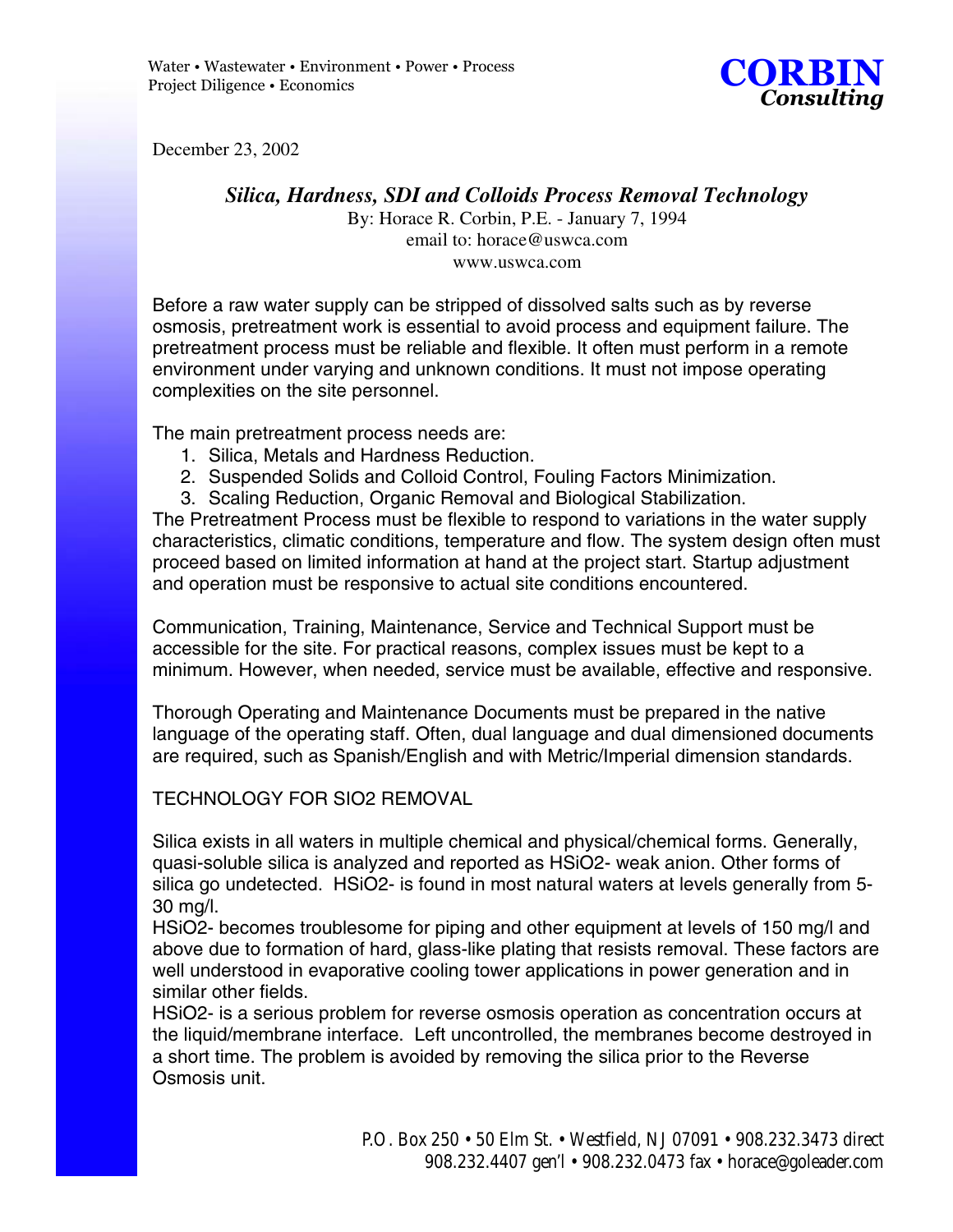

December 23, 2002

## *Silica, Hardness, SDI and Colloids Process Removal Technology*

By: Horace R. Corbin, P.E. - January 7, 1994 email to: horace@uswca.com www.uswca.com

Before a raw water supply can be stripped of dissolved salts such as by reverse osmosis, pretreatment work is essential to avoid process and equipment failure. The pretreatment process must be reliable and flexible. It often must perform in a remote environment under varying and unknown conditions. It must not impose operating complexities on the site personnel.

The main pretreatment process needs are:

- 1. Silica, Metals and Hardness Reduction.
- 2. Suspended Solids and Colloid Control, Fouling Factors Minimization.
- 3. Scaling Reduction, Organic Removal and Biological Stabilization.

The Pretreatment Process must be flexible to respond to variations in the water supply characteristics, climatic conditions, temperature and flow. The system design often must proceed based on limited information at hand at the project start. Startup adjustment and operation must be responsive to actual site conditions encountered.

Communication, Training, Maintenance, Service and Technical Support must be accessible for the site. For practical reasons, complex issues must be kept to a minimum. However, when needed, service must be available, effective and responsive.

Thorough Operating and Maintenance Documents must be prepared in the native language of the operating staff. Often, dual language and dual dimensioned documents are required, such as Spanish/English and with Metric/Imperial dimension standards.

## TECHNOLOGY FOR SIO2 REMOVAL

Silica exists in all waters in multiple chemical and physical/chemical forms. Generally, quasi-soluble silica is analyzed and reported as HSiO2- weak anion. Other forms of silica go undetected. HSiO2- is found in most natural waters at levels generally from 5- 30 mg/l.

HSiO2- becomes troublesome for piping and other equipment at levels of 150 mg/l and above due to formation of hard, glass-like plating that resists removal. These factors are well understood in evaporative cooling tower applications in power generation and in similar other fields.

HSiO2- is a serious problem for reverse osmosis operation as concentration occurs at the liquid/membrane interface. Left uncontrolled, the membranes become destroyed in a short time. The problem is avoided by removing the silica prior to the Reverse Osmosis unit.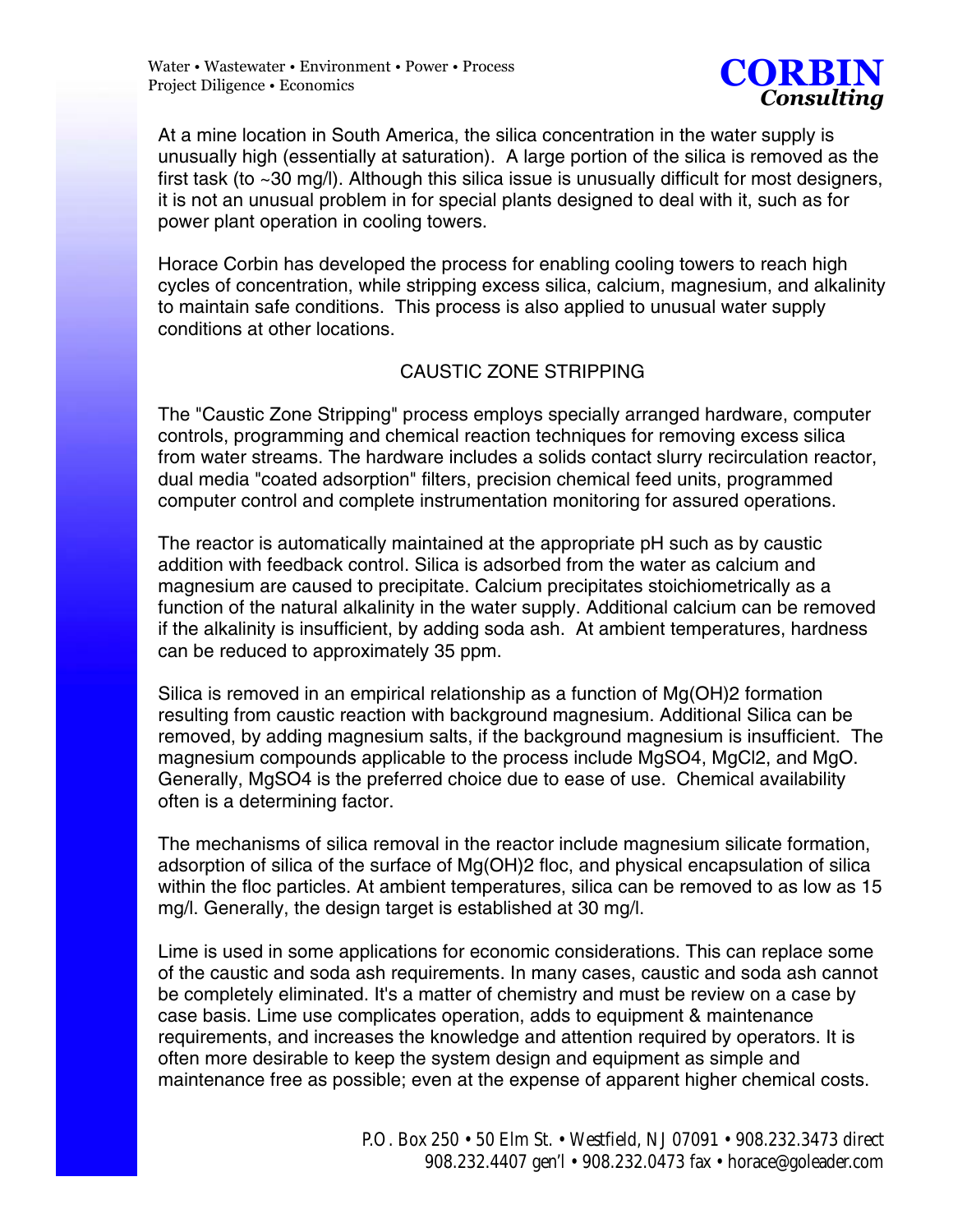

At a mine location in South America, the silica concentration in the water supply is unusually high (essentially at saturation). A large portion of the silica is removed as the first task (to ~30 mg/l). Although this silica issue is unusually difficult for most designers, it is not an unusual problem in for special plants designed to deal with it, such as for power plant operation in cooling towers.

Horace Corbin has developed the process for enabling cooling towers to reach high cycles of concentration, while stripping excess silica, calcium, magnesium, and alkalinity to maintain safe conditions. This process is also applied to unusual water supply conditions at other locations.

## CAUSTIC ZONE STRIPPING

The "Caustic Zone Stripping" process employs specially arranged hardware, computer controls, programming and chemical reaction techniques for removing excess silica from water streams. The hardware includes a solids contact slurry recirculation reactor, dual media "coated adsorption" filters, precision chemical feed units, programmed computer control and complete instrumentation monitoring for assured operations.

The reactor is automatically maintained at the appropriate pH such as by caustic addition with feedback control. Silica is adsorbed from the water as calcium and magnesium are caused to precipitate. Calcium precipitates stoichiometrically as a function of the natural alkalinity in the water supply. Additional calcium can be removed if the alkalinity is insufficient, by adding soda ash. At ambient temperatures, hardness can be reduced to approximately 35 ppm.

Silica is removed in an empirical relationship as a function of Mg(OH)2 formation resulting from caustic reaction with background magnesium. Additional Silica can be removed, by adding magnesium salts, if the background magnesium is insufficient. The magnesium compounds applicable to the process include MgSO4, MgCl2, and MgO. Generally, MgSO4 is the preferred choice due to ease of use. Chemical availability often is a determining factor.

The mechanisms of silica removal in the reactor include magnesium silicate formation, adsorption of silica of the surface of Mg(OH)2 floc, and physical encapsulation of silica within the floc particles. At ambient temperatures, silica can be removed to as low as 15 mg/l. Generally, the design target is established at 30 mg/l.

Lime is used in some applications for economic considerations. This can replace some of the caustic and soda ash requirements. In many cases, caustic and soda ash cannot be completely eliminated. It's a matter of chemistry and must be review on a case by case basis. Lime use complicates operation, adds to equipment & maintenance requirements, and increases the knowledge and attention required by operators. It is often more desirable to keep the system design and equipment as simple and maintenance free as possible; even at the expense of apparent higher chemical costs.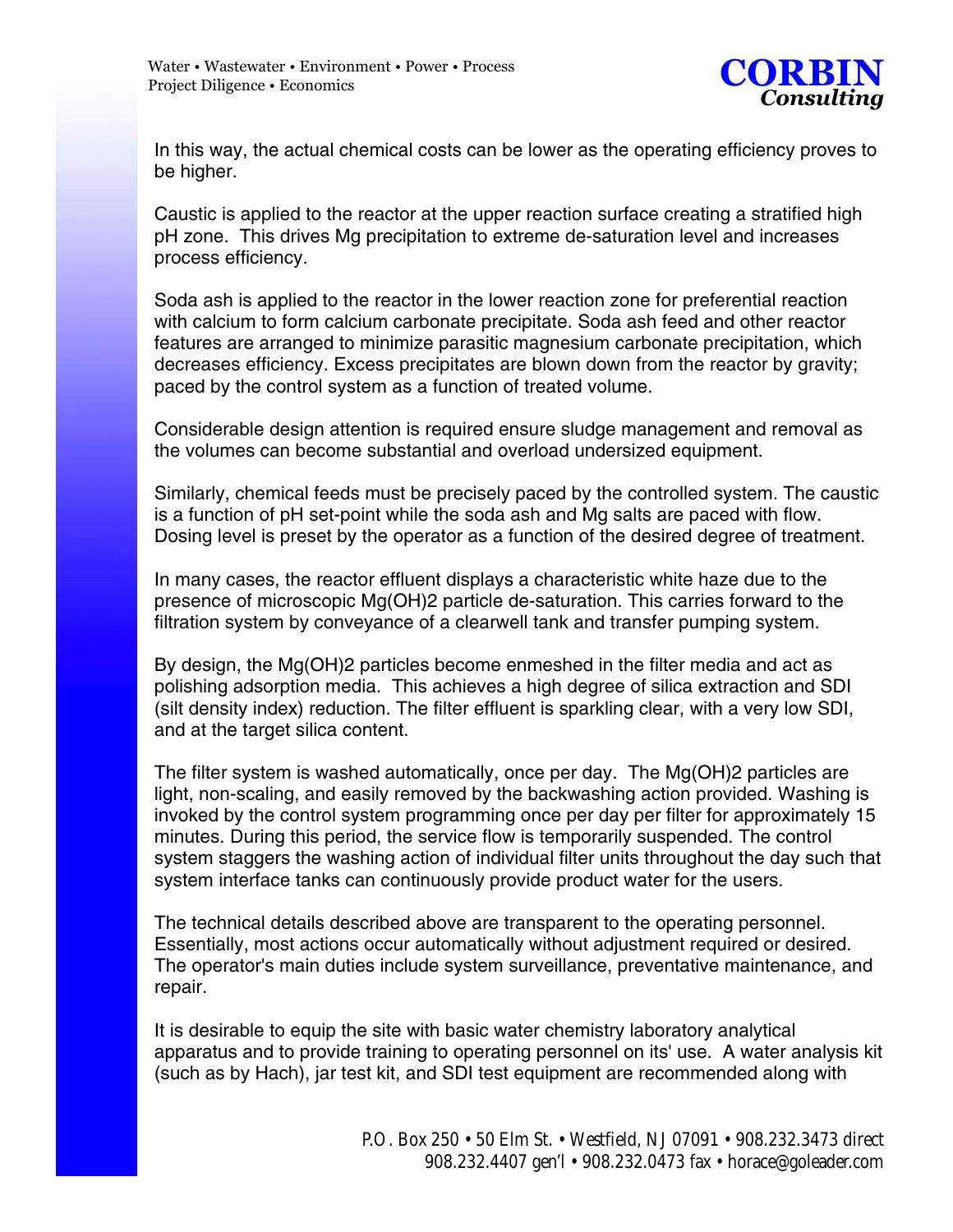

In this way, the actual chemical costs can be lower as the operating efficiency proves to be higher.

Caustic is applied to the reactor at the upper reaction surface creating a stratified high pH zone. This drives Mg precipitation to extreme de-saturation level and increases process efficiency.

Soda ash is applied to the reactor in the lower reaction zone for preferential reaction with calcium to form calcium carbonate precipitate. Soda ash feed and other reactor features are arranged to minimize parasitic magnesium carbonate precipitation, which decreases efficiency. Excess precipitates are blown down from the reactor by gravity; paced by the control system as a function of treated volume.

Considerable design attention is required ensure sludge management and removal as the volumes can become substantial and overload undersized equipment.

Similarly, chemical feeds must be precisely paced by the controlled system. The caustic is a function of pH set-point while the soda ash and Mg salts are paced with flow. Dosing level is preset by the operator as a function of the desired degree of treatment.

In many cases, the reactor effluent displays a characteristic white haze due to the presence of microscopic Mg(OH)2 particle de-saturation. This carries forward to the filtration system by conveyance of a clearwell tank and transfer pumping system.

By design, the Mg(OH)2 particles become enmeshed in the filter media and act as polishing adsorption media. This achieves a high degree of silica extraction and SDI (silt density index) reduction. The filter effluent is sparkling clear, with a very low SDI, and at the target silica content.

The filter system is washed automatically, once per day. The Mg(OH)2 particles are light, non-scaling, and easily removed by the backwashing action provided. Washing is invoked by the control system programming once per day per filter for approximately 15 minutes. During this period, the service flow is temporarily suspended. The control system staggers the washing action of individual filter units throughout the day such that system interface tanks can continuously provide product water for the users.

The technical details described above are transparent to the operating personnel. Essentially, most actions occur automatically without adjustment required or desired. The operator's main duties include system surveillance, preventative maintenance, and repair.

It is desirable to equip the site with basic water chemistry laboratory analytical apparatus and to provide training to operating personnel on its' use. A water analysis kit (such as by Hach), jar test kit, and SDI test equipment are recommended along with